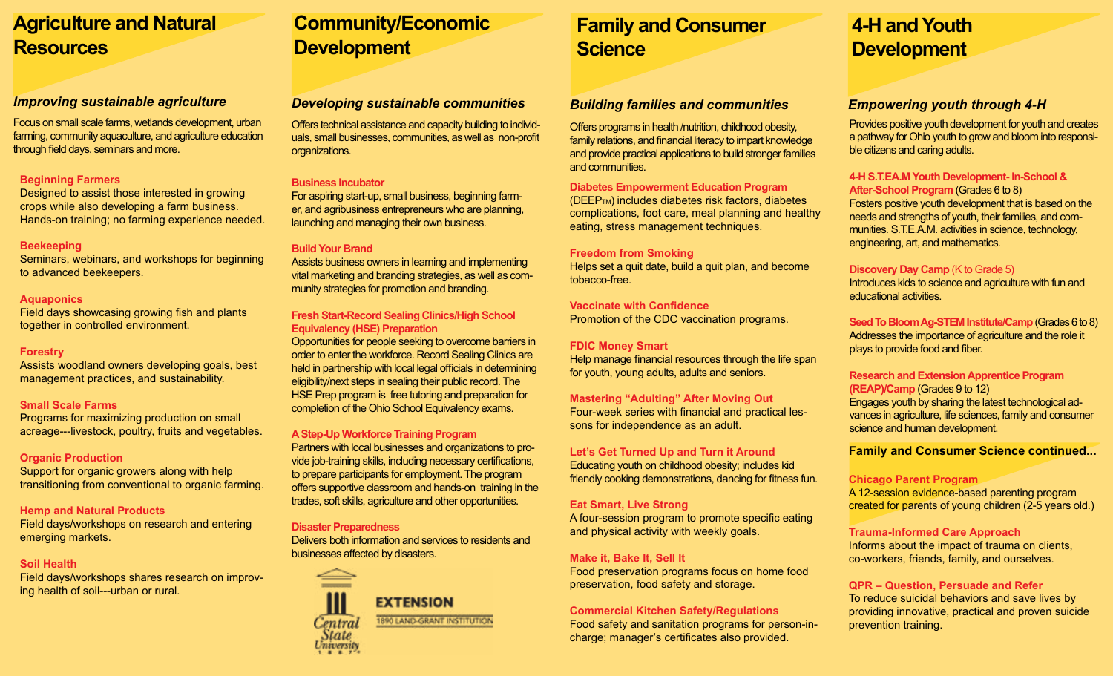# **Agriculture and Natural Resources**

Focus on small scale farms, wetlands development, urban farming, community aquaculture, and agriculture education through field days, seminars and more.

#### **Beginning Farmers**

Designed to assist those interested in growing crops while also developing a farm business. Hands-on training; no farming experience needed.

#### **Beekeeping**

Seminars, webinars, and workshops for beginning to advanced beekeepers.

### **Aquaponics**

Field days showcasing growing fish and plants together in controlled environment.

### **Forestry**

Assists woodland owners developing goals, best management practices, and sustainability.

### **Small Scale Farms**

Programs for maximizing production on small acreage---livestock, poultry, fruits and vegetables.

#### **Organic Production**

Support for organic growers along with help transitioning from conventional to organic farming.

## **Hemp and Natural Products**

Field days/workshops on research and entering emerging markets.

# **Soil Health**

Field days/workshops shares research on improving health of soil---urban or rural.

# **Community/Economic Development**

# *Improving sustainable agriculture Developing sustainable communities Building families and communities Empowering youth through 4-H*

Offers technical assistance and capacity building to individuals, small businesses, communities, as well as non-profit organizations.

# **Business Incubator**

For aspiring start-up, small business, beginning farmer, and agribusiness entrepreneurs who are planning, launching and managing their own business.

# **Build Your Brand**

Assists business owners in learning and implementing vital marketing and branding strategies, as well as community strategies for promotion and branding.

## **Fresh Start-Record Sealing Clinics/High School Equivalency (HSE) Preparation**

Opportunities for people seeking to overcome barriers in order to enter the workforce. Record Sealing Clinics are held in partnership with local legal officials in determining eligibility/next steps in sealing their public record. The HSE Prep program is free tutoring and preparation for completion of the Ohio School Equivalency exams.

# **A Step-Up Workforce Training Program**

Partners with local businesses and organizations to provide job-training skills, including necessary certifications, to prepare participants for employment. The program offers supportive classroom and hands-on training in the trades, soft skills, agriculture and other opportunities.

## **Disaster Preparedness**

Delivers both information and services to residents and businesses affected by disasters.



# **Family and Consumer Science**

Offers programs in health /nutrition, childhood obesity, family relations, and financial literacy to impart knowledge and provide practical applications to build stronger families and communities.

## **Diabetes Empowerment Education Program**

(DEEPTM) includes diabetes risk factors, diabetes complications, foot care, meal planning and healthy eating, stress management techniques.

# **Freedom from Smoking**

Helps set a quit date, build a quit plan, and become tobacco-free.

#### **Vaccinate with Confidence**  Promotion of the CDC vaccination programs.

## **FDIC Money Smart**

Help manage financial resources through the life span for youth, young adults, adults and seniors.

# **Let's Get Turned Up and Turn it Around**

Educating youth on childhood obesity; includes kid friendly cooking demonstrations, dancing for fitness fun.

# **Eat Smart, Live Strong**

A four-session program to promote specific eating and physical activity with weekly goals.

# **Make it, Bake It, Sell It**

Food preservation programs focus on home food preservation, food safety and storage.

# **Commercial Kitchen Safety/Regulations**

Food safety and sanitation programs for person-incharge; manager's certificates also provided.

# **4-H and Youth Development**

Provides positive youth development for youth and creates a pathway for Ohio youth to grow and bloom into responsible citizens and caring adults.

#### **4-H S.T.EA.M Youth Development- In-School & After-School Program** (Grades 6 to 8)

Fosters positive youth development that is based on the needs and strengths of youth, their families, and communities. S.T.E.A.M. activities in science, technology, engineering, art, and mathematics.

# **Discovery Day Camp** (K to Grade 5)

Introduces kids to science and agriculture with fun and educational activities.

**Seed To Bloom Ag-STEM Institute/Camp**(Grades 6 to 8) Addresses the importance of agriculture and the role it plays to provide food and fiber.

#### **Research and Extension Apprentice Program (REAP)/Camp** (Grades 9 to 12)

Engages youth by sharing the latest technological advances in agriculture, life sciences, family and consumer science and human development.

# **Family and Consumer Science continued...**

# **Chicago Parent Program**

A 12-session evidence-based parenting program created for parents of young children (2-5 years old.)

# **Trauma-Informed Care Approach**

Informs about the impact of trauma on clients, co-workers, friends, family, and ourselves.

### **QPR – Question, Persuade and Refer** To reduce suicidal behaviors and save lives by providing innovative, practical and proven suicide prevention training.

**Mastering "Adulting" After Moving Out** Four-week series with financial and practical les-

sons for independence as an adult.